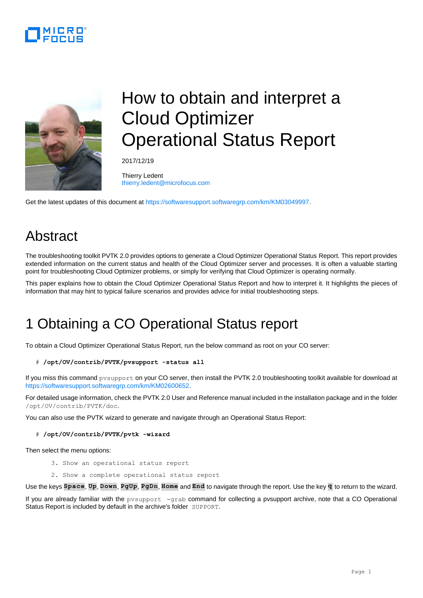



# How to obtain and interpret a Cloud Optimizer Operational Status Report

2017/12/19

Thierry Ledent [thierry.ledent@microfocus.com](mailto:thierry.ledent@microfocus.com)

Get the latest updates of this document at [https://softwaresupport.softwaregrp.com/km/KM03049997.](https://softwaresupport.softwaregrp.com/km/KM03049997)

### Abstract

The troubleshooting toolkit PVTK 2.0 provides options to generate a Cloud Optimizer Operational Status Report. This report provides extended information on the current status and health of the Cloud Optimizer server and processes. It is often a valuable starting point for troubleshooting Cloud Optimizer problems, or simply for verifying that Cloud Optimizer is operating normally.

This paper explains how to obtain the Cloud Optimizer Operational Status Report and how to interpret it. It highlights the pieces of information that may hint to typical failure scenarios and provides advice for initial troubleshooting steps.

### 1 Obtaining a CO Operational Status report

To obtain a Cloud Optimizer Operational Status Report, run the below command as root on your CO server:

# **/opt/OV/contrib/PVTK/pvsupport -status all**

If you miss this command pvsupport on your CO server, then install the PVTK 2.0 troubleshooting toolkit available for download at [https://softwaresupport.softwaregrp.com/km/KM02600652.](https://softwaresupport.softwaregrp.com/km/KM02600652)

For detailed usage information, check the PVTK 2.0 User and Reference manual included in the installation package and in the folder /opt/OV/contrib/PVTK/doc.

You can also use the PVTK wizard to generate and navigate through an Operational Status Report:

#### # **/opt/OV/contrib/PVTK/pvtk -wizard**

Then select the menu options:

- 3. Show an operational status report
- 2. Show a complete operational status report

Use the keys **Space**, **Up**, **Down**, **PgUp**, **PgDn**, **Home** and **End** to navigate through the report. Use the key **q** to return to the wizard.

If you are already familiar with the pvsupport -grab command for collecting a pvsupport archive, note that a CO Operational Status Report is included by default in the archive's folder SUPPORT.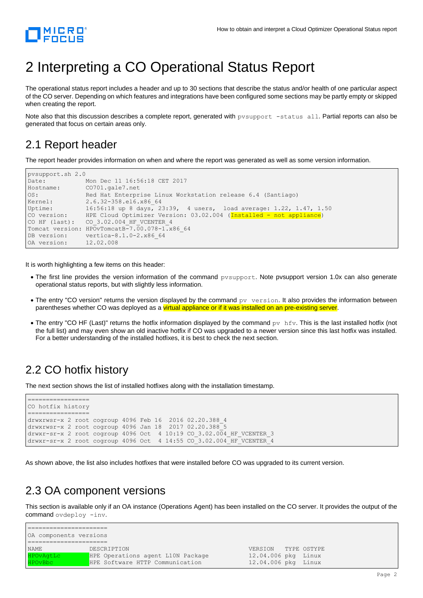

## 2 Interpreting a CO Operational Status Report

The operational status report includes a header and up to 30 sections that describe the status and/or health of one particular aspect of the CO server. Depending on which features and integrations have been configured some sections may be partly empty or skipped when creating the report.

Note also that this discussion describes a complete report, generated with pysupport -status all. Partial reports can also be generated that focus on certain areas only.

#### 2.1 Report header

The report header provides information on when and where the report was generated as well as some version information.

```
pvsupport.sh 2.0
Date: Mon Dec 11 16:56:18 CET 2017
Hostname: CO701.gale7.net
OS: Red Hat Enterprise Linux Workstation release 6.4 (Santiago)
Kernel: 2.6.32-358.el6.x86 64
Uptime: 16:56:18 up 8 days, 23:39, 4 users, load average: 1.22, 1.47, 1.50
CO version: HPE Cloud Optimizer Version: 03.02.004 (Installed - not appliance)
CO HF (last): CO 3.02.004 HF VCENTER 4
Tomcat version: HPOvTomcatB-7.00.078-1.x86 64
DB version: vertica-8.1.0-2.x86 64
OA version: 12.02.008
```
It is worth highlighting a few items on this header:

- The first line provides the version information of the command pysupport. Note pysupport version 1.0x can also generate operational status reports, but with slightly less information.
- The entry "CO version" returns the version displayed by the command  $pv$  version. It also provides the information between parentheses whether CO was deployed as a virtual appliance or if it was installed on an pre-existing server.
- The entry "CO HF (Last)" returns the hotfix information displayed by the command  $pv$  hfv. This is the last installed hotfix (not the full list) and may even show an old inactive hotfix if CO was upgraded to a newer version since this last hotfix was installed. For a better understanding of the installed hotfixes, it is best to check the next section.

#### 2.2 CO hotfix history

The next section shows the list of installed hotfixes along with the installation timestamp.

```
================
CO hotfix history
================
drwxrwsr-x 2 root cogroup 4096 Feb 16 2016 02.20.388_4
drwxrwsr-x 2 root cogroup 4096 Jan 18 2017 02.20.388_5
drwxr-sr-x 2 root cogroup 4096 Oct 4 10:19 CO 3.02.004 HF VCENTER 3
drwxr-sr-x 2 root cogroup 4096 Oct 4 14:55 CO<sup>-3</sup>.02.004 HF VCENTER 4
```
As shown above, the list also includes hotfixes that were installed before CO was upgraded to its current version.

#### 2.3 OA component versions

This section is available only if an OA instance (Operations Agent) has been installed on the CO server. It provides the output of the command ovdeploy -inv.

| OA components versions |                                   |                     |  |  |  |  |
|------------------------|-----------------------------------|---------------------|--|--|--|--|
|                        |                                   |                     |  |  |  |  |
| <b>NAME</b>            | DESCRIPTION                       | VERSION TYPE OSTYPE |  |  |  |  |
| HPOvAgtLc              | HPE Operations agent L10N Package | 12.04.006 pkg Linux |  |  |  |  |
| <b>HPOVBbc</b>         | HPE Software HTTP Communication   | 12.04.006 pkg Linux |  |  |  |  |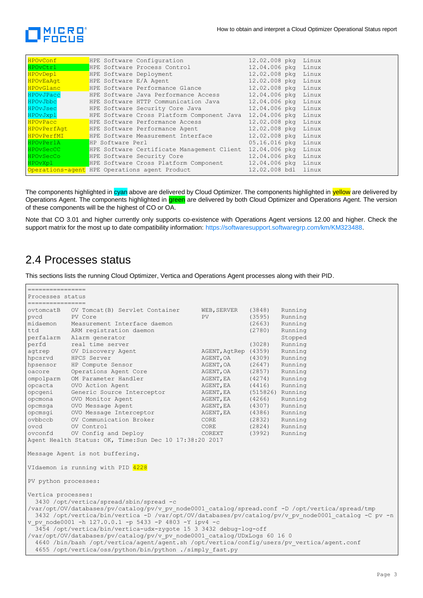

| HPOvConf <sup>1</sup>                                                                                         | HPE Software Configuration 12.02.008 pkg Linux                           |                     |  |
|---------------------------------------------------------------------------------------------------------------|--------------------------------------------------------------------------|---------------------|--|
| HPOvCtrl Form                                                                                                 | HPE Software Process Control 12.04.006 pkg Linux                         |                     |  |
| HPOvDeplet and the state of the state of the state of the state of the state of the state of the state of the | HPE Software Deployment 12.02.008 pkg Linux                              |                     |  |
|                                                                                                               | HPOvEaAgt HPE Software E/A Agent                                         | 12.02.008 pkg Linux |  |
|                                                                                                               | HPOvGlanc HPE Software Performance Glance 12.02.008 pkg Linux            |                     |  |
| HPOvJPacc                                                                                                     | HPE Software Java Performance Access 12.04.006 pkg Linux                 |                     |  |
| HPOvJbbc in the second state of the second state of the second state of the second state $\sim$               | HPE Software HTTP Communication Java 12.04.006 pkg Linux                 |                     |  |
| <b>HPOVJsec Example 1996</b>                                                                                  | HPE Software Security Core Java 12.04.006 pkg Linux                      |                     |  |
| HPOvJxpl                                                                                                      | HPE Software Cross Platform Component Java 12.04.006 pkg Linux           |                     |  |
|                                                                                                               | HPOvPacc BPE Software Performance Access 12.02.008 pkg Linux             |                     |  |
|                                                                                                               | HPOvPerfAgt HPE Software Performance Agent 12.02.008 pkg Linux           |                     |  |
|                                                                                                               | HPOvPerfMI HPE Software Measurement Interface 12.02.008 pkg Linux        |                     |  |
| HPOvPerlA <b>Alexander</b>                                                                                    | HP Software Perl                                                         | 05.16.016 pkg Linux |  |
|                                                                                                               | HPOvSecCC BPE Software Certificate Management Client 12.04.006 pkg Linux |                     |  |
|                                                                                                               | HIPOvSecCo HPE Software Security Core 12.04.006 pkg Linux                |                     |  |
|                                                                                                               | HPOvXpl <b>HPE Software Cross Platform Component</b> 12.04.006 pkg Linux |                     |  |
|                                                                                                               | Operations-agent HPE Operations agent Product 12.02.008 bdl linux        |                     |  |

The components highlighted in cyan above are delivered by Cloud Optimizer. The components highlighted in yellow are delivered by Operations Agent. The components highlighted in green are delivered by both Cloud Optimizer and Operations Agent. The version of these components will be the highest of CO or OA.

Note that CO 3.01 and higher currently only supports co-existence with Operations Agent versions 12.00 and higher. Check the support matrix for the most up to date compatibility information: [https://softwaresupport.softwaregrp.com/km/KM323488.](https://softwaresupport.softwaregrp.com/km/KM323488)

#### 2.4 Processes status

This sections lists the running Cloud Optimizer, Vertica and Operations Agent processes along with their PID.

| ================                                         |                                                                                                     |                      |                  |         |  |
|----------------------------------------------------------|-----------------------------------------------------------------------------------------------------|----------------------|------------------|---------|--|
|                                                          | Processes status                                                                                    |                      |                  |         |  |
| =================                                        |                                                                                                     |                      |                  |         |  |
| ovtomcatB                                                | OV Tomcat (B) Servlet Container                                                                     | WEB, SERVER          | (3848)           | Running |  |
| pvcd                                                     | PV Core                                                                                             | PV                   | (3595)           | Running |  |
| midaemon                                                 | Measurement Interface daemon                                                                        |                      | (2663)           | Running |  |
| ttd                                                      | ARM registration daemon                                                                             |                      | (2780)           | Running |  |
| perfalarm                                                | Alarm generator                                                                                     |                      |                  | Stopped |  |
| perfd                                                    | real time server                                                                                    |                      | (3028)           | Running |  |
| aqtrep                                                   | OV Discovery Agent                                                                                  | AGENT, AgtRep (4359) |                  | Running |  |
| hpcsrvd                                                  | HPCS Server                                                                                         | AGENT, OA            | (4309)           | Running |  |
| hpsensor                                                 | HP Compute Sensor                                                                                   | AGENT, OA            | (2647)           | Running |  |
| oacore                                                   | Operations Agent Core                                                                               | AGENT, OA            | (2857)           | Running |  |
| ompolparm                                                | OM Parameter Handler                                                                                | AGENT, EA            | (4274)           | Running |  |
| opcacta                                                  | OVO Action Agent                                                                                    | AGENT, EA            | (4416)           | Running |  |
| opcgeni                                                  | Generic Source Interceptor                                                                          | AGENT, EA            | (515826) Running |         |  |
| opcmona                                                  | OVO Monitor Agent                                                                                   | AGENT, EA            | (4266)           | Running |  |
| opcmsqa                                                  | OVO Message Agent                                                                                   | AGENT, EA            | (4307)           | Running |  |
| opcmsqi                                                  | OVO Message Interceptor                                                                             | AGENT, EA            | (4386)           | Running |  |
| ovbbccb                                                  | OV Communication Broker                                                                             | CORE                 | (2832)           | Running |  |
| ovcd                                                     | OV Control                                                                                          | CORE                 | (2824)           | Running |  |
| ovconfd                                                  | OV Config and Deploy                                                                                | COREXT               | (3992)           | Running |  |
|                                                          | Agent Health Status: OK, Time: Sun Dec 10 17:38:20 2017                                             |                      |                  |         |  |
|                                                          |                                                                                                     |                      |                  |         |  |
|                                                          | Message Agent is not buffering.                                                                     |                      |                  |         |  |
|                                                          |                                                                                                     |                      |                  |         |  |
|                                                          | VIdaemon is running with PID 4228                                                                   |                      |                  |         |  |
|                                                          |                                                                                                     |                      |                  |         |  |
| PV python processes:                                     |                                                                                                     |                      |                  |         |  |
|                                                          |                                                                                                     |                      |                  |         |  |
| Vertica processes:                                       |                                                                                                     |                      |                  |         |  |
|                                                          | 3430 /opt/vertica/spread/sbin/spread -c                                                             |                      |                  |         |  |
|                                                          | /var/opt/0V/databases/pv/catalog/pv/v pv node0001 catalog/spread.conf -D /opt/vertica/spread/tmp    |                      |                  |         |  |
|                                                          | 3432 /opt/vertica/bin/vertica -D /var/opt/OV/databases/pv/catalog/pv/v pv node0001 catalog -C pv -n |                      |                  |         |  |
|                                                          | v pv node0001 -h 127.0.0.1 -p 5433 -P 4803 -Y ipv4 -c                                               |                      |                  |         |  |
|                                                          | 3454 /opt/vertica/bin/vertica-udx-zygote 15 3 3432 debug-log-off                                    |                      |                  |         |  |
|                                                          | /var/opt/OV/databases/pv/catalog/pv/v pv node0001 catalog/UDxLogs 60 16 0                           |                      |                  |         |  |
|                                                          | 4640 /bin/bash /opt/vertica/agent/agent.sh /opt/vertica/config/users/pv vertica/agent.conf          |                      |                  |         |  |
| 4655 /opt/vertica/oss/python/bin/python ./simply fast.py |                                                                                                     |                      |                  |         |  |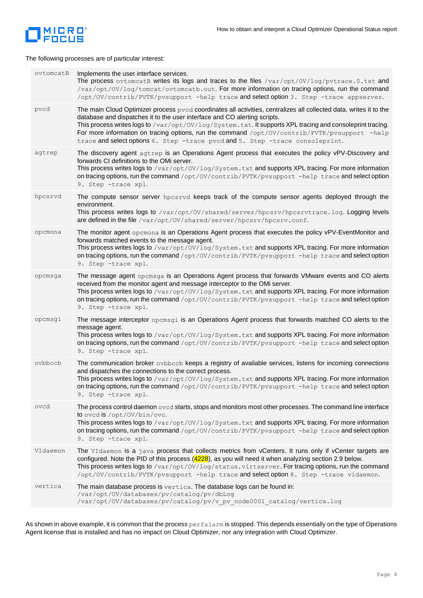

The following processes are of particular interest:

| ovtomcatB | Implements the user interface services.<br>The process ovtomcatB writes its logs and traces to the files /var/opt/0V/log/pvtrace.0.txt and<br>/var/opt/0V/log/tomcat/ovtomcatb.out. For more information on tracing options, run the command<br>/opt/0V/contrib/PVTK/pvsupport -help trace and select option 3. Step -trace appserver.                                                                                                                                                         |
|-----------|------------------------------------------------------------------------------------------------------------------------------------------------------------------------------------------------------------------------------------------------------------------------------------------------------------------------------------------------------------------------------------------------------------------------------------------------------------------------------------------------|
| pvcd      | The main Cloud Optimizer process pvcd coordinates all activities, centralizes all collected data, writes it to the<br>database and dispatches it to the user interface and CO alerting scripts.<br>This process writes logs to /var/opt/0V/log/System.txt. It supports XPL tracing and consoleprint tracing.<br>For more information on tracing options, run the command /opt/0V/contrib/PVTK/pvsupport -help<br>trace and select options 6. Step -trace pvcd and 5. Step -trace consoleprint. |
| agtrep    | The discovery agent agtrep is an Operations Agent process that executes the policy vPV-Discovery and<br>forwards CI definitions to the OMi server.<br>This process writes logs to /var/opt/0V/log/System.txt and supports XPL tracing. For more information<br>on tracing options, run the command /opt/0V/contrib/PVTK/pvsupport -help trace and select option<br>9. Step -trace xpl.                                                                                                         |
| hpcsrvd   | The compute sensor server hpcsrvd keeps track of the compute sensor agents deployed through the<br>environment.<br>This process writes logs to /var/opt/0V/shared/server/hpcsrv/hpcsrvtrace.log. Logging levels<br>are defined in the file /var/opt/0V/shared/server/hpcsrv/hpcsrv.conf.                                                                                                                                                                                                       |
| opcmona   | The monitor agent oper and Sperations Agent process that executes the policy vPV-EventMonitor and<br>forwards matched events to the message agent.<br>This process writes logs to /var/opt/0V/log/System.txt and supports XPL tracing. For more information<br>on tracing options, run the command /opt/0V/contrib/PVTK/pvsupport -help trace and select option<br>9. Step -trace xpl.                                                                                                         |
| opcmsga   | The message agent opcmsga is an Operations Agent process that forwards VMware events and CO alerts<br>received from the monitor agent and message interceptor to the OMi server.<br>This process writes logs to /var/opt/0V/log/System.txt and supports XPL tracing. For more information<br>on tracing options, run the command /opt/0V/contrib/PVTK/pvsupport -help trace and select option<br>9. Step -trace xpl.                                                                           |
| opcmsgi   | The message interceptor opermsgi is an Operations Agent process that forwards matched CO alerts to the<br>message agent.<br>This process writes logs to /var/opt/0V/log/System.txt and supports XPL tracing. For more information<br>on tracing options, run the command /opt/0V/contrib/PVTK/pvsupport -help trace and select option<br>9. Step -trace xpl.                                                                                                                                   |
| ovbbccb   | The communication broker ovbbccb keeps a registry of available services, listens for incoming connections<br>and dispatches the connections to the correct process.<br>This process writes logs to /var/opt/0V/log/System.txt and supports XPL tracing. For more information<br>on tracing options, run the command /opt/0V/contrib/PVTK/pvsupport -help trace and select option<br>9. Step -trace xpl.                                                                                        |
| ovcd      | The process control daemon $\text{ovcd}$ starts, stops and monitors most other processes. The command line interface<br>to oved is /opt/0V/bin/ove.<br>This process writes logs to /var/opt/0V/log/System.txt and supports XPL tracing. For more information<br>on tracing options, run the command /opt/0V/contrib/PVTK/pvsupport -help trace and select option<br>9. Step -trace xpl.                                                                                                        |
| VIdaemon  | The VIdaemon is a java process that collects metrics from vCenters. It runs only if vCenter targets are<br>configured. Note the PID of this process (4228), as you will need it when analyzing section 2.9 below.<br>This process writes logs to /var/opt/0V/log/status.virtserver. For tracing options, run the command<br>/opt/OV/contrib/PVTK/pvsupport -help trace and select option 8. Step -trace vidaemon.                                                                              |
| vertica   | The main database process is $\text{vertical}$ . The database logs can be found in:<br>/var/opt/OV/databases/pv/catalog/pv/dbLog<br>/var/opt/OV/databases/pv/catalog/pv/v pv node0001 catalog/vertica.log                                                                                                                                                                                                                                                                                      |

As shown in above example, it is common that the process perfalarm is stopped. This depends essentially on the type of Operations Agent license that is installed and has no impact on Cloud Optimizer, nor any integration with Cloud Optimizer.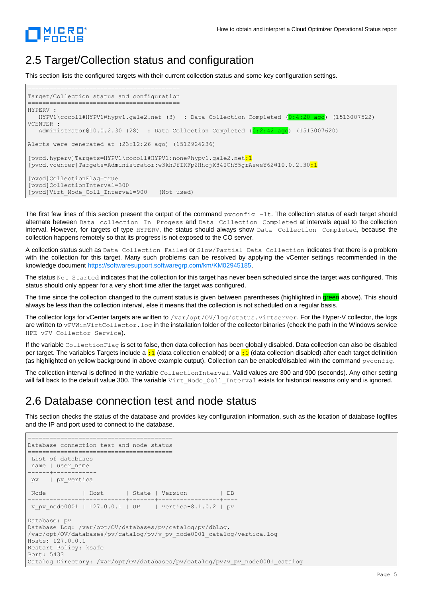

#### 2.5 Target/Collection status and configuration

This section lists the configured targets with their current collection status and some key configuration settings.



The first few lines of this section present the output of the command  $\frac{p}{q}$ -1t. The collection status of each target should alternate between Data collection In Progess and Data Collection Completed at intervals equal to the collection interval. However, for targets of type HYPERV, the status should always show Data Collection Completed, because the collection happens remotely so that its progress is not exposed to the CO server.

A collection status such as Data Collection Failed or Slow/Partial Data Collection indicates that there is a problem with the collection for this target. Many such problems can be resolved by applying the vCenter settings recommended in the knowledge documen[t https://softwaresupport.softwaregrp.com/km/KM02945185.](https://softwaresupport.softwaregrp.com/km/KM02945185)

The status Not Started indicates that the collection for this target has never been scheduled since the target was configured. This status should only appear for a very short time after the target was configured.

The time since the collection changed to the current status is given between parentheses (highlighted in green above). This should always be less than the collection interval, else it means that the collection is not scheduled on a regular basis.

The collector logs for vCenter targets are written to /var/opt/OV/log/status.virtserver. For the Hyper-V collector, the logs are written to vPVWinVirtCollector.log in the installation folder of the collector binaries (check the path in the Windows service HPE vPV Collector Service).

If the variable CollectionFlag is set to false, then data collection has been globally disabled. Data collection can also be disabled per target. The variables Targets include a  $:1$  (data collection enabled) or a  $:0$  (data collection disabled) after each target definition (as highlighted on yellow background in above example output). Collection can be enabled/disabled with the command pvconfig.

The collection interval is defined in the variable CollectionInterval. Valid values are 300 and 900 (seconds). Any other setting will fall back to the default value 300. The variable Virt\_Node\_Coll\_Interval exists for historical reasons only and is ignored.

#### 2.6 Database connection test and node status

This section checks the status of the database and provides key configuration information, such as the location of database logfiles and the IP and port used to connect to the database.

```
========================================
Database connection test and node status
========================================
List of databases
name | user_name 
------+------------
pv | pv_vertica
Node | Host | State | Version | DB
---------------+-----------+-------+-----------------+----
v pv node0001 | 127.0.0.1 | UP | vertica-8.1.0.2 | pv
Database: pv
Database Log: /var/opt/OV/databases/pv/catalog/pv/dbLog, 
/var/opt/OV/databases/pv/catalog/pv/v_pv_node0001_catalog/vertica.log
Hosts: 127.0.0.1
Restart Policy: ksafe
Port: 5433
Catalog Directory: /var/opt/OV/databases/pv/catalog/pv/v_pv_node0001_catalog
```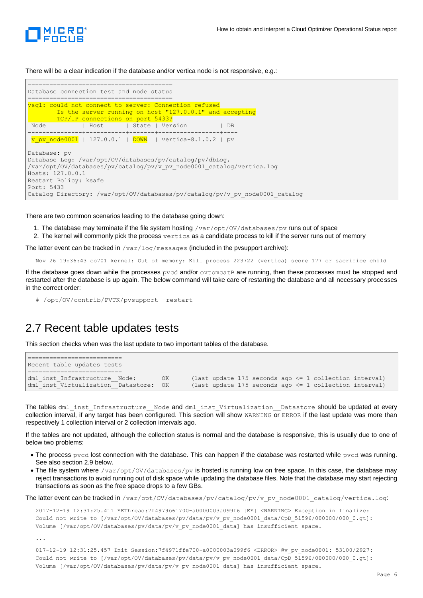

There will be a clear indication if the database and/or vertica node is not responsive, e.g.:

| Database connection test and node status                                                                                                             |
|------------------------------------------------------------------------------------------------------------------------------------------------------|
| vsgl: could not connect to server: Connection refused<br>Is the server running on host "127.0.0.1" and accepting<br>TCP/IP connections on port 5433? |
| Node   Host   State   Version   DB                                                                                                                   |
|                                                                                                                                                      |
| <b>v</b> pv node0001   127.0.0.1   DOWN   vertica-8.1.0.2   pv                                                                                       |
|                                                                                                                                                      |
| Database: pv                                                                                                                                         |
| Database Loq: /var/opt/OV/databases/pv/cataloq/pv/dbLoq,                                                                                             |
| /var/opt/0V/databases/pv/catalog/pv/v pv node0001 catalog/vertica.log                                                                                |
| Hosts: 127.0.0.1                                                                                                                                     |
| Restart Policy: ksafe                                                                                                                                |
| Port: 5433                                                                                                                                           |
| Catalog Directory: /var/opt/OV/databases/pv/catalog/pv/v pv node0001 catalog                                                                         |

There are two common scenarios leading to the database going down:

- 1. The database may terminate if the file system hosting /var/opt/0V/databases/pv runs out of space
- 2. The kernel will commonly pick the process vertica as a candidate process to kill if the server runs out of memory

The latter event can be tracked in  $/var /log/m$ essages (included in the pvsupport archive):

Nov 26 19:36:43 co701 kernel: Out of memory: Kill process 223722 (vertica) score 177 or sacrifice child

If the database goes down while the processes  $pvcd$  and/or  $ovtomcatB$  are running, then these processes must be stopped and restarted after the database is up again. The below command will take care of restarting the database and all necessary processes in the correct order:

# /opt/OV/contrib/PVTK/pvsupport -restart

#### 2.7 Recent table updates tests

This section checks when was the last update to two important tables of the database.

```
==========================
Recent table updates tests
========================
dml_inst_Infrastructure__Node: 0K (last update 175 seconds ago <= 1 collection interval)<br>dml inst Virtualization Datastore: 0K (last update 175 seconds ago <= 1 collection interval)
                                                 OK (last update 175 seconds ago \leq 1 collection interval)
```
The tables dml\_inst\_Infrastructure\_\_Node and dml\_inst\_Virtualization\_\_Datastore should be updated at every collection interval, if any target has been configured. This section will show WARNING or ERROR if the last update was more than respectively 1 collection interval or 2 collection intervals ago.

If the tables are not updated, although the collection status is normal and the database is responsive, this is usually due to one of below two problems:

- The process  $pvcd$  lost connection with the database. This can happen if the database was restarted while  $pvcd$  was running. See also section 2.9 below.
- The file system where /var/opt/OV/databases/pv is hosted is running low on free space. In this case, the database may reject transactions to avoid running out of disk space while updating the database files. Note that the database may start rejecting transactions as soon as the free space drops to a few GBs.

The latter event can be tracked in /var/opt/OV/databases/pv/catalog/pv/v\_pv\_node0001\_catalog/vertica.log:

```
2017-12-19 12:31:25.411 EEThread:7f4979b61700-a0000003a099f6 [EE] <WARNING> Exception in finalize: 
Could not write to [/var/opt/OV/databases/pv/data/pv/v_pv_node0001_data/CpD_51596/000000/000_0.gt]:
Volume [/var/opt/OV/databases/pv/data/pv/v_pv_node0001_data] has insufficient space.
```
...

```
017-12-19 12:31:25.457 Init Session:7f4971ffe700-a0000003a099f6 <ERROR> @v_pv_node0001: 53100/2927: 
Could not write to [/var/opt/OV/databases/pv/data/pv/v_pv_node0001_data/CpD_51596/000000/000_0.gt]:
Volume [/var/opt/OV/databases/pv/data/pv/v_pv_node0001_data] has insufficient space.
```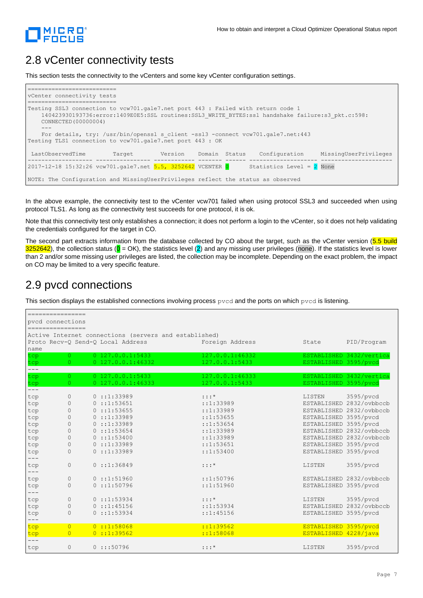

#### 2.8 vCenter connectivity tests

This section tests the connectivity to the vCenters and some key vCenter configuration settings.

| vCenter connectivity tests                                                                                                                                                                                   |  |  |
|--------------------------------------------------------------------------------------------------------------------------------------------------------------------------------------------------------------|--|--|
|                                                                                                                                                                                                              |  |  |
| Testing SSL3 connection to vcw701.gale7.net port 443 : Failed with return code 1<br>140423930193736:error:1409E0E5:SSL routines:SSL3 WRITE BYTES:ssl handshake failure:s3 pkt.c:598:<br>CONNECTED (00000004) |  |  |
|                                                                                                                                                                                                              |  |  |
| For details, try: /usr/bin/openssl s client -ssl3 -connect vcw701.gale7.net:443<br>Testing TLS1 connection to vcw701.gale7.net port 443 : OK                                                                 |  |  |
| MissingUserPrivileges<br>LastObservedTime<br>Version Domain Status<br>Configuration<br>Target                                                                                                                |  |  |
| Statistics Level = $2$ None<br>2017-12-18 15:32:26 vcw701.gale7.net 5.5, 3252642 VCENTER 0                                                                                                                   |  |  |
| NOTE: The Configuration and MissingUserPrivileges reflect the status as observed                                                                                                                             |  |  |

In the above example, the connectivity test to the vCenter vcw701 failed when using protocol SSL3 and succeeded when using protocol TLS1. As long as the connectivity test succeeds for one protocol, it is ok.

Note that this connectivity test only establishes a connection; it does not perform a login to the vCenter, so it does not help validating the credentials configured for the target in CO.

The second part extracts information from the database collected by CO about the target, such as the vCenter version (5.5 build  $3252642$ ), the collection status ( $\overline{0}$  = OK), the statistics level (2) and any missing user privileges (none). If the statistics level is lower than 2 and/or some missing user privileges are listed, the collection may be incomplete. Depending on the exact problem, the impact on CO may be limited to a very specific feature.

#### 2.9 pvcd connections

This section displays the established connections involving process  $pvcd$  and the ports on which  $pvcd$  is listening.

|                  | ================= |                                                       |                 |                          |
|------------------|-------------------|-------------------------------------------------------|-----------------|--------------------------|
| pycd connections |                   |                                                       |                 |                          |
| ================ |                   |                                                       |                 |                          |
|                  |                   | Active Internet connections (servers and established) |                 |                          |
|                  |                   | Proto Recv-O Send-O Local Address                     | Foreign Address | PID/Program<br>State     |
| name             |                   |                                                       |                 |                          |
| tcp              | $\Omega$          | $0$ 127.0.0.1:5433                                    | 127.0.0.1:46332 | ESTABLISHED 3432/vertica |
| tcp              | $\circ$           | $0$ 127.0.0.1:46332                                   | 127.0.0.1:5433  | ESTABLISHED 3595/pvcd    |
| $---$            |                   |                                                       |                 |                          |
| tcp              | $\circ$           | $0$ 127.0.0.1:5433                                    | 127.0.0.1:46333 | ESTABLISHED 3432/vertica |
| tcp<br>$---$     | $\circ$           | $0$ 127.0.0.1:46333                                   | 127.0.0.1:5433  | ESTABLISHED 3595/pvcd    |
| tcp              | 0                 | 0:1:33989                                             | $: : : *$       | 3595/pvcd<br>LISTEN      |
| tcp              | $\circ$           | 0:1:53651                                             | : 1: 33989      | ESTABLISHED 2832/ovbbccb |
| tcp              | $\circ$           | 0: : : : 53655                                        | : : : : : 33989 | ESTABLISHED 2832/ovbbccb |
| tcp              | 0                 | 0: : : : : 33989                                      | : : 1: 53655    | ESTABLISHED 3595/pvcd    |
| tcp              | 0                 | 0: : : : : 33989                                      | : : 1: 53654    | ESTABLISHED 3595/pvcd    |
| tcp              | $\circ$           | 0: : : : : 53654                                      | ::1:33989       | ESTABLISHED 2832/ovbbccb |
| tcp              | $\circ$           | 0: : : : : 53400                                      | : : : : : 33989 | ESTABLISHED 2832/ovbbccb |
| tcp              | $\Omega$          | 0:1:33989                                             | : : 1: 53651    | ESTABLISHED 3595/pvcd    |
| tcp              | $\Omega$          | 0:1:33989                                             | : : 1: 53400    | ESTABLISHED 3595/pvcd    |
|                  | $\circ$           | 0:1:36849                                             | $: : : *$       | LISTEN                   |
| tcp              |                   |                                                       |                 | 3595/pvcd                |
| tcp              | $\mathbb O$       | 0: : : : 51960                                        | : : 1: 50796    | ESTABLISHED 2832/ovbbccb |
| tcp              | $\circ$           | 0: : : : 50796                                        | : : 1: 51960    | ESTABLISHED 3595/pvcd    |
|                  |                   |                                                       |                 |                          |
| tcp              | $\circ$           | 0:1:53934                                             | $: : : *$       | 3595/pvcd<br>LISTEN      |
| tcp              | $\circ$           | 0:1:45156                                             | : : 1: 53934    | ESTABLISHED 2832/ovbbccb |
| tcp              | $\Omega$          | 0: : : : 53934                                        | : : 1:45156     | ESTABLISHED 3595/pvcd    |
| tcp              | $\overline{0}$    | 0: : 1:58068                                          | : : 1: 39562    | ESTABLISHED 3595/pvcd    |
| tcp              | $\overline{0}$    | 0: : 1: 39562                                         | : : 1:58068     | ESTABLISHED 4228/java    |
|                  |                   |                                                       |                 |                          |
| tcp              | $\circ$           | 0:1:50796                                             | $: : : *$       | 3595/pvcd<br>LISTEN      |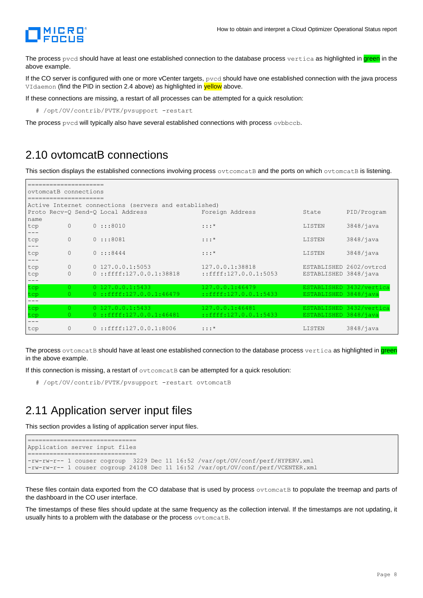

The process pycd should have at least one established connection to the database process vertica as highlighted in green in the above example.

If the CO server is configured with one or more vCenter targets, pvcd should have one established connection with the java process VIdaemon (find the PID in section 2.4 above) as highlighted in yellow above.

If these connections are missing, a restart of all processes can be attempted for a quick resolution:

# /opt/OV/contrib/PVTK/pvsupport -restart

The process pvcd will typically also have several established connections with process ovbbccb.

#### 2.10 ovtomcatB connections

This section displays the established connections involving process ovtcomcatB and the ports on which ovtomcatB is listening.

|            | ovtomcatB connections |  |                                                       |                             |                         |                          |
|------------|-----------------------|--|-------------------------------------------------------|-----------------------------|-------------------------|--------------------------|
|            |                       |  | Active Internet connections (servers and established) |                             |                         |                          |
|            |                       |  | Proto Recv-O Send-O Local Address                     | Foreign Address             | State                   | PID/Program              |
| name       |                       |  |                                                       |                             |                         |                          |
| tcp        | $\Omega$              |  | 0:::8010                                              | $: : : *$                   | LISTEN                  | 3848/java                |
|            |                       |  |                                                       |                             |                         |                          |
| tcp        | $\circ$               |  | 0:::8081                                              | $: : : *$                   | LISTEN                  | 3848/java                |
|            |                       |  |                                                       |                             |                         |                          |
| tcp        | $\circ$               |  | $0$ :::8444                                           | $: : : *$                   | LISTEN                  | 3848/java                |
| tcp        | $\circ$               |  | $0$ 127.0.0.1:5053                                    | 127.0.0.1:38818             | ESTABLISHED 2602/ovtrcd |                          |
| tcp        | $\circ$               |  | $0: :$ ffff:127.0.0.1:38818                           | $:$ :ffff:127.0.0.1:5053    | ESTABLISHED 3848/java   |                          |
|            |                       |  |                                                       |                             |                         |                          |
| tcp        | $\Omega$              |  | $0$ 127.0.0.1:5433                                    | 127.0.0.1:46479             |                         | ESTABLISHED 3432/vertica |
| tcp        | 0.                    |  | $0$ ::ffff:127.0.0.1:46479                            | $:$ : ffff:127.0.0.1:5433   | ESTABLISHED 3848/java   |                          |
|            |                       |  | $0$ 127.0.0.1:5433                                    | 127.0.0.1:46481             |                         |                          |
| tcp<br>tcp | 0.                    |  | $0$ ::ffff:127.0.0.1:46481                            | $:$ : ffff: 127.0.0.1: 5433 | ESTABLISHED 3848/java   | ESTABLISHED 3432/vertica |
|            |                       |  |                                                       |                             |                         |                          |
| tcp        | $\circ$               |  | $0$ ::ffff:127.0.0.1:8006                             | $: : : *$                   | LISTEN                  | $3848/i$ ava             |

The process ovtomcatB should have at least one established connection to the database process vertica as highlighted in green in the above example.

If this connection is missing, a restart of  $\text{ovto}$  meat B can be attempted for a quick resolution:

# /opt/OV/contrib/PVTK/pvsupport -restart ovtomcatB

#### 2.11 Application server input files

This section provides a listing of application server input files.

```
==============================
Application server input files
    ==============================
-rw-rw-r-- 1 couser cogroup 3229 Dec 11 16:52 /var/opt/OV/conf/perf/HYPERV.xml
-rw-rw-r-- 1 couser cogroup 24108 Dec 11 16:52 /var/opt/OV/conf/perf/VCENTER.xml
```
These files contain data exported from the CO database that is used by process ovtomcatB to populate the treemap and parts of the dashboard in the CO user interface.

The timestamps of these files should update at the same frequency as the collection interval. If the timestamps are not updating, it usually hints to a problem with the database or the process ovtomcatB.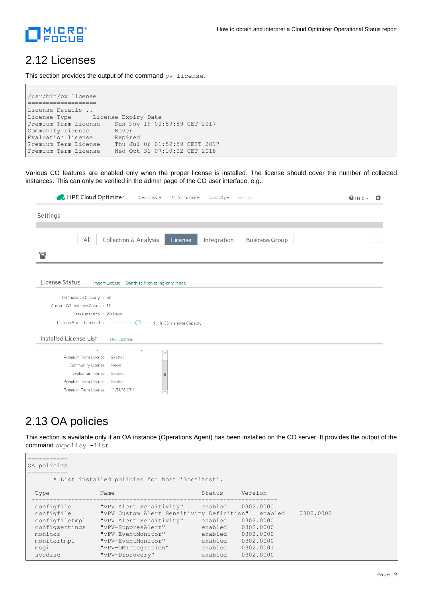

#### 2.12 Licenses

This section provides the output of the command pv license.

```
===================
/usr/bin/pv license
===================
License Details .. 
License Type License Expiry Date 
Premium Term License Sun Nov 19 00:59:59 CET 2017
Community License Never
Evaluation license Expired
Premium Term License Thu Jul 06 01:59:59 CEST 2017<br>Premium Term License Wed Oct 31 07:10:02 CET 2018
                         Wed Oct 31 07:10:02 CET 2018
```
Various CO features are enabled only when the proper license is installed. The license should cover the number of collected instances. This can only be verified in the admin page of the CO user interface, e.g.:

|                        | HPE Cloud Optimizer<br>Overview $\sim$                      | Performance -                    | $Capacity*$ | Groups                | $\bigcirc$ Help $\ast$<br>ゎ |
|------------------------|-------------------------------------------------------------|----------------------------------|-------------|-----------------------|-----------------------------|
| Settings               |                                                             |                                  |             |                       |                             |
|                        |                                                             |                                  |             |                       |                             |
|                        | All<br>Collection & Analysis                                | License                          | Integration | <b>Business Group</b> |                             |
| 憎                      |                                                             |                                  |             |                       |                             |
|                        |                                                             |                                  |             |                       |                             |
| License Status         | Import License                                              | Switch to 'Monitoring-only' Mode |             |                       |                             |
|                        |                                                             |                                  |             |                       |                             |
|                        | OS Instance Capacity : 50                                   |                                  |             |                       |                             |
|                        | Current OS Instance Count : 31                              |                                  |             |                       |                             |
|                        | Data Retention : 90 Days                                    |                                  |             |                       |                             |
|                        | License Alert Threshold :<br>$\left( \right)$               | 90 % OS Instance Capacity        |             |                       |                             |
| Installed License List | <b>Buy License</b>                                          |                                  |             |                       |                             |
|                        | $\lambda \rightarrow$<br>$\mathbb{R}^n \times \mathbb{R}^n$ | $\sim$                           |             |                       |                             |
|                        | Premium Term License : Expired                              |                                  |             |                       |                             |
|                        | Community License : Never                                   |                                  |             |                       |                             |
|                        | Evaluation license : Expired                                | $\equiv$                         |             |                       |                             |
|                        | Premium Term License : Expired                              |                                  |             |                       |                             |
|                        |                                                             |                                  |             |                       |                             |

#### 2.13 OA policies

This section is available only if an OA instance (Operations Agent) has been installed on the CO server. It provides the output of the command ovpolicy -list.

```
===========
OA policies
===========
       * List installed policies for host 'localhost'.
 Type Name Name Status Version
    --------------------------------------------------------------------
  configfile "vPV Alert Sensitivity" enabled 0302.0000
 configfile "vPV Custom Alert Sensitivity Definition" enabled 0302.0000
 configfiletmpl "vPV Alert Sensitivity" enabled 0302.0000<br>configsettings "vPV-SuppresAlert" enabled 0302.0000
  configsettings "vPV-SuppresAlert" enabled 0302.0000
 monitor "vPV-EventMonitor" enabled 0302.0000
 monitortmpl "vPV-EventMonitor" enabled 0302.0000
 monitortmpl "vPV-EventMonitor" enabled 0302.0000<br>msgi "vPV-OMIntegration" enabled 0302.0001<br>svcdisc "vPV-Discovery" enabled 0302.0000
                    "vPV-Discovery"
```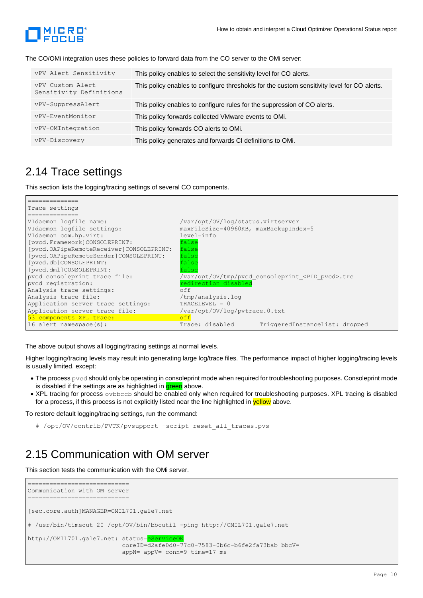

The CO/OMi integration uses these policies to forward data from the CO server to the OMi server:

| vPV Alert Sensitivity                       | This policy enables to select the sensitivity level for CO alerts.                          |
|---------------------------------------------|---------------------------------------------------------------------------------------------|
| vPV Custom Alert<br>Sensitivity Definitions | This policy enables to configure thresholds for the custom sensitivity level for CO alerts. |
| vPV-SuppressAlert                           | This policy enables to configure rules for the suppression of CO alerts.                    |
| vPV-EventMonitor                            | This policy forwards collected VMware events to OMi.                                        |
| vPV-OMIntegration                           | This policy forwards CO alerts to OMi.                                                      |
| vPV-Discovery                               | This policy generates and forwards CI definitions to OMi.                                   |

#### 2.14 Trace settings

This section lists the logging/tracing settings of several CO components.



The above output shows all logging/tracing settings at normal levels.

Higher logging/tracing levels may result into generating large log/trace files. The performance impact of higher logging/tracing levels is usually limited, except:

- The process pvcd should only be operating in consoleprint mode when required for troubleshooting purposes. Consoleprint mode is disabled if the settings are as highlighted in green above.
- XPL tracing for process ovbbccb should be enabled only when required for troubleshooting purposes. XPL tracing is disabled for a process, if this process is not explicitly listed near the line highlighted in **yellow** above.

To restore default logging/tracing settings, run the command:

```
# /opt/OV/contrib/PVTK/pvsupport -script reset_all_traces.pvs
```
#### 2.15 Communication with OM server

This section tests the communication with the OMi server.

```
============================
Communication with OM server
===========================
[sec.core.auth]MANAGER=OMIL701.gale7.net
# /usr/bin/timeout 20 /opt/OV/bin/bbcutil -ping http://OMIL701.gale7.net
http://OMIL701.gale7.net: status=eService
                           coreID=d2afe0d0-77c0-7583-0b6c-b6fe2fa73bab bbcV= 
                           appN= appV= conn=9 time=17 ms
```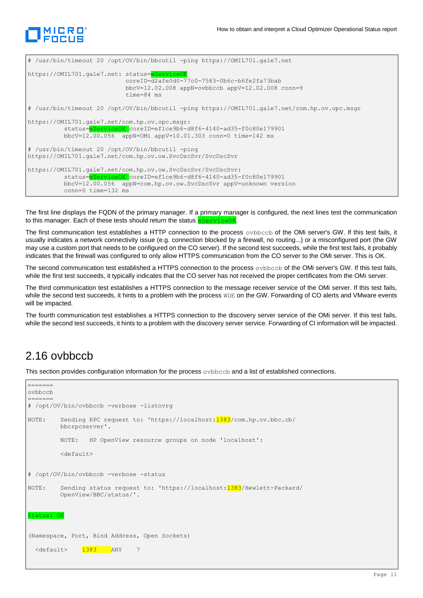

```
# /usr/bin/timeout 20 /opt/OV/bin/bbcutil -ping https://OMIL701.gale7.net
https://OMIL701.gale7.net: status=eServiceC
                            coreID=d2afe0d0-77c0-7583-0b6c-b6fe2fa73bab 
                            bbcV=12.02.008 appN=ovbbccb appV=12.02.008 conn=9 
                           time=84 ms
# /usr/bin/timeout 20 /opt/OV/bin/bbcutil -ping https://OMIL701.gale7.net/com.hp.ov.opc.msgr
https://OMIL701.gale7.net/com.hp.ov.opc.msgr:
           status=eServiceOK coreID=ef1ce9b6-d8f6-4140-ad35-f0c80e179901 
           bbcV=12.00.056 appN=OMi appV=10.01.303 conn=0 time=142 ms
# /usr/bin/timeout 20 /opt/OV/bin/bbcutil -ping 
https://OMIL701.gale7.net/com.hp.ov.ow.SvcDscSvr/SvcDscSvr
https://OMIL701.gale7.net/com.hp.ov.ow.SvcDscSvr/SvcDscSvr:
           status=eServiceOK coreID=ef1ce9b6-d8f6-4140-ad35-f0c80e179901 
           bbcV=12.00.056 appN=com.hp.ov.ow.SvcDscSvr appV=unknown version 
           conn=0 time=132 ms
```
The first line displays the FQDN of the primary manager. If a primary manager is configured, the next lines test the communication to this manager. Each of these tests should return the status **eServiceOK** 

The first communication test establishes a HTTP connection to the process ovbbccb of the OMi server's GW. If this test fails, it usually indicates a network connectivity issue (e.g. connection blocked by a firewall, no routing...) or a misconfigured port (the GW may use a custom port that needs to be configured on the CO server). If the second test succeeds, while the first test fails, it probably indicates that the firewall was configured to only allow HTTPS communication from the CO server to the OMi server. This is OK.

The second communication test established a HTTPS connection to the process ovbbccb of the OMi server's GW. If this test fails, while the first test succeeds, it typically indicates that the CO server has not received the proper certificates from the OMi server.

The third communication test establishes a HTTPS connection to the message receiver service of the OMi server. If this test fails, while the second test succeeds, it hints to a problem with the process WDE on the GW. Forwarding of CO alerts and VMware events will be impacted.

The fourth communication test establishes a HTTPS connection to the discovery server service of the OMi server. If this test fails, while the second test succeeds, it hints to a problem with the discovery server service. Forwarding of CI information will be impacted.

#### 2.16 ovbbccb

=======

This section provides configuration information for the process ovbbccb and a list of established connections.

```
ovbbccb
=======
# /opt/OV/bin/ovbbccb -verbose -listovrg
NOTE: Sending RPC request to: 'https://localhost: 1383/com.hp.ov.bbc.cb/
         bbcrpcserver'.
         NOTE: HP OpenView resource groups on node 'localhost':
          <default>
# /opt/OV/bin/ovbbccb -verbose -status
NOTE: Sending status request to: 'https://localhost: 1383/Hewlett-Packard/
         OpenView/BBC/status/'.
Status: OK
(Namespace, Port, Bind Address, Open Sockets)
  <default> 1383 ANY 7
```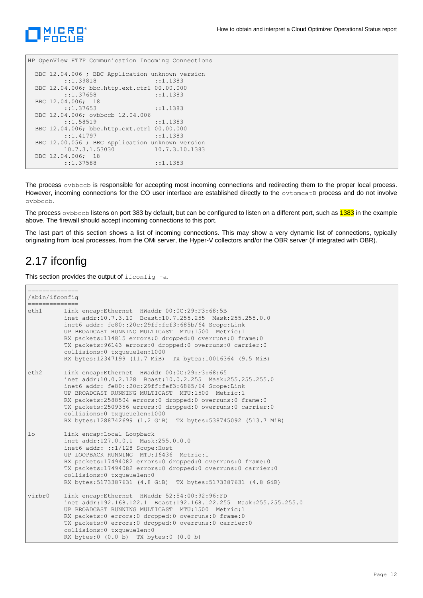

HP OpenView HTTP Communication Incoming Connections

```
 BBC 12.04.006 ; BBC Application unknown version
        ::1.39818 ::1.1383
 BBC 12.04.006; bbc.http.ext.ctrl 00.00.000
       ::1.37658 ::1.1383
 BBC 12.04.006; 18
       ::1.37653 ::1.1383
 BBC 12.04.006; ovbbccb 12.04.006
       ::1.58519 ::1.1383
 BBC 12.04.006; bbc.http.ext.ctrl 00.00.000
       ::1.41797 ::1.1383
 BBC 12.00.056 ; BBC Application unknown version
       10.7.3.1.53030 10.7.3.10.1383
 BBC 12.04.006; 18
       ::1.37588 ::1.1383
```
The process ovbbccb is responsible for accepting most incoming connections and redirecting them to the proper local process. However, incoming connections for the CO user interface are established directly to the ovtomcatB process and do not involve ovbbccb.

The process  $\circ$ vbbccb listens on port 383 by default, but can be configured to listen on a different port, such as  $1383$  in the example above. The firewall should accept incoming connections to this port.

The last part of this section shows a list of incoming connections. This may show a very dynamic list of connections, typically originating from local processes, from the OMi server, the Hyper-V collectors and/or the OBR server (if integrated with OBR).

#### 2.17 ifconfig

This section provides the output of  $if$ config  $-a$ .

```
==============
/sbin/ifconfig
==============
eth1 Link encap:Ethernet HWaddr 00:0C:29:F3:68:5B 
          inet addr:10.7.3.10 Bcast:10.7.255.255 Mask:255.255.0.0
          inet6 addr: fe80::20c:29ff:fef3:685b/64 Scope:Link
          UP BROADCAST RUNNING MULTICAST MTU:1500 Metric:1
          RX packets:114815 errors:0 dropped:0 overruns:0 frame:0
          TX packets:96143 errors:0 dropped:0 overruns:0 carrier:0
          collisions:0 txqueuelen:1000 
          RX bytes:12347199 (11.7 MiB) TX bytes:10016364 (9.5 MiB)
eth2 Link encap:Ethernet HWaddr 00:0C:29:F3:68:65 
          inet addr:10.0.2.128 Bcast:10.0.2.255 Mask:255.255.255.0
           inet6 addr: fe80::20c:29ff:fef3:6865/64 Scope:Link
          UP BROADCAST RUNNING MULTICAST MTU:1500 Metric:1
          RX packets:2588504 errors:0 dropped:0 overruns:0 frame:0
           TX packets:2509356 errors:0 dropped:0 overruns:0 carrier:0
          collisions:0 txqueuelen:1000 
          RX bytes:1288742699 (1.2 GiB) TX bytes:538745092 (513.7 MiB)
lo Link encap:Local Loopback 
          inet addr:127.0.0.1 Mask:255.0.0.0
          inet6 addr: ::1/128 Scope:Host
          UP LOOPBACK RUNNING MTU:16436 Metric:1
          RX packets:17494082 errors:0 dropped:0 overruns:0 frame:0
          TX packets:17494082 errors:0 dropped:0 overruns:0 carrier:0
           collisions:0 txqueuelen:0 
          RX bytes:5173387631 (4.8 GiB) TX bytes:5173387631 (4.8 GiB)
virbr0 Link encap:Ethernet HWaddr 52:54:00:92:96:FD 
           inet addr:192.168.122.1 Bcast:192.168.122.255 Mask:255.255.255.0
          UP BROADCAST RUNNING MULTICAST MTU:1500 Metric:1
          RX packets:0 errors:0 dropped:0 overruns:0 frame:0
          TX packets:0 errors:0 dropped:0 overruns:0 carrier:0
           collisions:0 txqueuelen:0 
          RX bytes:0 (0.0 b) TX bytes:0 (0.0 b)
```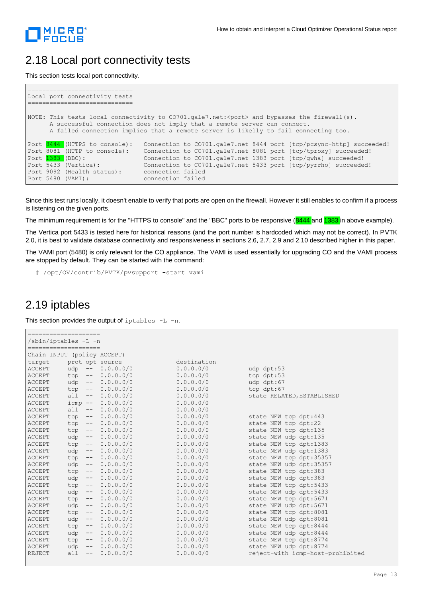

#### 2.18 Local port connectivity tests

This section tests local port connectivity.

```
=============================
Local port connectivity tests
=============================
NOTE: This tests local connectivity to CO701.gale7.net:<port> and bypasses the firewall(s).
       A successful connection does not imply that a remote server can connect.
       A failed connection implies that a remote server is likelly to fail connecting too.
Port 8444 (HTTPS to console): Connection to CO701.gale7.net 8444 port [tcp/pcsync-http] succeeded!<br>Port 8081 (HTTP to console): Connection to CO701.gale7.net 8081 port [tcp/tproxy] succeeded!
Port 8081 (HTTP to console): Connection to CO701.gale7.net 8081 port [tcp/tproxy] succeeded!
Port <mark>1383</mark> (BBC): Connection to CO701.gale7.net 1383 port [tcp/gwha] succeeded!
Port 5433 (Vertica): Connection to CO701.gale7.net 5433 port [tcp/pyrrho] succeeded!
Port 9092 (Health status): connection failed
Port 5480 (VAMI): connection failed
```
Since this test runs locally, it doesn't enable to verify that ports are open on the firewall. However it still enables to confirm if a process is listening on the given ports.

The minimum requirement is for the "HTTPS to console" and the "BBC" ports to be responsive (8444 and 1383 in above example).

The Vertica port 5433 is tested here for historical reasons (and the port number is hardcoded which may not be correct). In PVTK 2.0, it is best to validate database connectivity and responsiveness in sections 2.6, 2.7, 2.9 and 2.10 described higher in this paper.

The VAMI port (5480) is only relevant for the CO appliance. The VAMI is used essentially for upgrading CO and the VAMI process are stopped by default. They can be started with the command:

# /opt/OV/contrib/PVTK/pvsupport -start vami

#### 2.19 iptables

This section provides the output of  $iptables -L -n$ .

```
===================
/sbin/iptables -L -n
====================
Chain INPUT (policy ACCEPT)
target prot opt source destination 
ACCEPT udp -- 0.0.0.0/0 0.0.0.0/0 udp dpt:53
ACCEPT tcp -- 0.0.0.0/0 0.0.0.0/0 tcp dpt:53 
ACCEPT udp -- 0.0.0.0/0 0.0.0.0/0 udp dpt:67 
ACCEPT tcp -- 0.0.0.0/0 0.0.0.0/0 tcp dpt:67
ACCEPT all -- 0.0.0.0/0 0.0.0.0/0 state RELATED, ESTABLISHED
ACCEPT icmp -- 0.0.0.0/0 0.0.0.0/0 
ACCEPT all -- 0.0.0.0/0 0.0.0.0/0<br>ACCEPT tcp -- 0.0.0.0/0 0.0.0.0/0
ACCEPT tcp -- 0.0.0.0/0 0.0.0.0/0 state NEW tcp dpt:443
ACCEPT tcp -- 0.0.0.0/0 0.0.0.0/0 state NEW tcp dpt:22<br>ACCEPT tcp -- 0.0.0.0/0 0.0.0.0/0 state NEW tcp dpt:13
ACCEPT tcp -- 0.0.0.0/0 0.0.0.0/0 state NEW tcp dpt:135<br>ACCEPT udp -- 0.0.0.0/0 0.0.0.0/0 state NEW udp dpt:135
                                          0.0.0.0/0 state NEW udp dpt:135
ACCEPT tcp -- 0.0.0.0/0 0.0.0.0/0 state NEW tcp dpt:1383 
ACCEPT udp -- 0.0.0.0/0 0.0.0.0/0 state NEW udp dpt:1383<br>ACCEPT tcp -- 0.0.0.0/0 0.0.0.0/0 state NEW tcp dpt:3535
ACCEPT tcp -- 0.0.0.0/0 0.0.0.0/0 state NEW tcp dpt:35357
ACCEPT udp -- 0.0.0.0/0 0.0.0.0/0 state NEW udp dpt:35357<br>
ACCEPT tcp -- 0.0.0.0/0 0.0.0.0/0 state NEW tcp dpt:383<br>
ACCEPT udp -- 0.0.0.0/0 0.0.0.0/0 state NEW udp dpt:383
ACCEPT tcp -- 0.0.0.0/0 0.0.0.0/0 state NEW tcp dpt:383 
ACCEPT udp -- 0.0.0.0/0 0.0.0.0/0 state NEW udp dpt:383<br>ACCEPT tcp -- 0.0.0.0/0 0.0.0.0/0 state NEW tcp dpt:543
ACCEPT tcp -- 0.0.0.0/0 0.0.0.0/0 state NEW tcp dpt:5433 
ACCEPT udp -- 0.0.0.0/0 0.0.0.0/0 state NEW udp dpt:5433<br>ACCEPT tcp -- 0.0.0.0/0 0.0.0.0/0 state NEW tcp dpt:5671
ACCEPT tcp -- 0.0.0.0/0 0.0.0.0/0 state NEW tcp dpt:5671<br>ACCEPT udp -- 0.0.0.0/0 0.0.0.0/0 state NEW udp dpt:5671
ACCEPT udp -- 0.0.0.0/0 0.0.0.0/0 state NEW udp dpt:5671 
ACCEPT tcp -- 0.0.0.0/0 0.0.0.0/0 state NEW tcp dpt:8081<br>ACCEPT udp -- 0.0.0.0/0 0.0.0.0/0 state NEW udp dpt:8081<br>ACCEPT tcp -- 0.0.0.0/0 0.0.0.0/0 state NEW tcp dpt:8444
ACCEPT udp -- 0.0.0.0/0 0.0.0.0/0 state NEW udp dpt:8081
ACCEPT tcp -- 0.0.0.0/0 0.0.0.0/0 state NEW tcp dpt:8444<br>ACCEPT udp -- 0.0.0.0/0 0.0.0.0/0 state NEW udp dpt:8444
ACCEPT udp -- 0.0.0.0/0 0.0.0.0/0 state NEW udp dpt:8444 
ACCEPT tcp -- 0.0.0.0/0 0.0.0.0/0 state NEW tcp dpt:8774<br>ACCEPT udp -- 0.0.0.0/0 0.0.0.0/0 state NEW udp dpt:8774<br>REJECT all -- 0.0.0.0/0 0.0.0.0/0 reject-with icmp-host-
                                                                state NEW udp dpt:8774
REJECT all -- 0.0.0.0/0 0.0.0.0/0 reject-with icmp-host-prohibited
```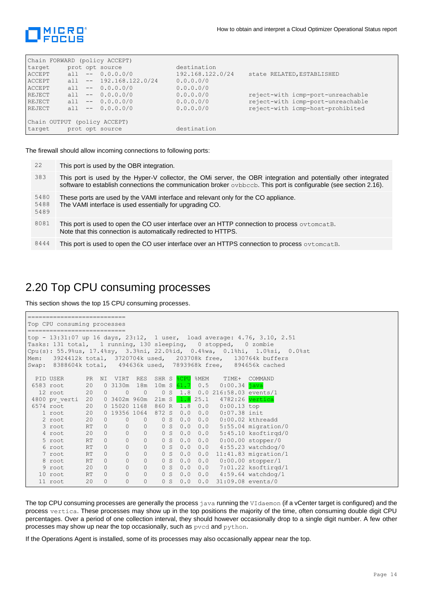

| Chain FORWARD (policy ACCEPT) |     |                           |                  |                                   |
|-------------------------------|-----|---------------------------|------------------|-----------------------------------|
| target                        |     | prot opt source           | destination      |                                   |
| ACCEPT                        | a11 | $- - 0.0.0.0/0$           | 192.168.122.0/24 | state RELATED, ESTABLISHED        |
| ACCEPT                        |     | all $-- 192.168.122.0/24$ | 0.0.0.0/0        |                                   |
| ACCEPT                        |     | all $-- 0.0.0.0/0$        | 0.0.0.0/0        |                                   |
| REJECT                        | all | $-- 0.0.0.0/0$            | 0.0.0.0/0        | reject-with icmp-port-unreachable |
| REJECT                        |     | all $-- 0.0.0.0/0$        | 0.0.0.0/0        | reject-with icmp-port-unreachable |
| REJECT                        | a11 | $-- 0.0.0.0/0$            | 0.0.0.0/0        | reject-with icmp-host-prohibited  |
|                               |     |                           |                  |                                   |
| Chain OUTPUT (policy ACCEPT)  |     |                           |                  |                                   |
| target                        |     | prot opt source           | destination      |                                   |

The firewall should allow incoming connections to following ports:

| 22                   | This port is used by the OBR integration.                                                                                                                                                                                             |
|----------------------|---------------------------------------------------------------------------------------------------------------------------------------------------------------------------------------------------------------------------------------|
| 383                  | This port is used by the Hyper-V collector, the OMi server, the OBR integration and potentially other integrated<br>software to establish connections the communication broker ovbbccb. This port is configurable (see section 2.16). |
| 5480<br>5488<br>5489 | These ports are used by the VAMI interface and relevant only for the CO appliance.<br>The VAMI interface is used essentially for upgrading CO.                                                                                        |
| 8081                 | This port is used to open the CO user interface over an HTTP connection to process $\circ \nu \tau$ or eat B.<br>Note that this connection is automatically redirected to HTTPS.                                                      |
| 8444                 | This port is used to open the CO user interface over an HTTPS connection to process ovtomeat B.                                                                                                                                       |

#### 2.20 Top CPU consuming processes

This section shows the top 15 CPU consuming processes.

```
===========================
Top CPU consuming processes
===========================
top - 13:31:07 up 16 days, 23:12, 1 user, load average: 4.76, 3.10, 2.51
Tasks: 131 total, 1 running, 130 sleeping, 0 stopped, 0 zombie
Cpu(s): 55.9%us, 17.4%sy, 3.3%ni, 22.0%id, 0.4%wa, 0.1%hi, 1.0%si, 0.0%st
Mem: 3924412k total, 3720704k used, 203708k free, 130764k buffers
Swap: 8388604k total, 494636k used, 7893968k free, 894656k cached
  PID USER PR NI VIRT RES SHR S<sup>2</sup> SCPU<sup>2</sup> WEM TIME+ COMMAND<br>583 root 20 0 3130m 18m 10m S 61.7 0.5 0:00.34 java
6583 root 20 0 3130m 18m 10m S 61.7 0.5
 12 root 20 0 0 0 0 5 1.8 0.0 216:58.03 events/1<br>4800 pv verti 20 0 3402m 960m 21m S 1.8 25.1 4782:26 vertica
 4800 pv verti 20 0 3402m 960m 21m S 1.8 25.1 4782:26 vertica
 6574 root 20 0 15020 1168 860 R 1.8 0.0 0:00.13 top
    1 root 20 0 19356 1064 872 S 0.0 0.0 0:07.38 init
     2 root 20 0 0 0 0 S 0.0 0.0 0:00.02 kthreadd
 3 root RT 0 0 0 0 S 0.0 0.0 5:55.04 migration/0
 4 root 20 0 0 0 0 S 0.0 0.0 5:45.10 ksoftirqd/0
    3 root RT 0 0 0 0 0 0 0 0.0 5:45.10 ksoftirqd<br>5 root RT 0 0 0 0 0 0 0.0 0:00.00 stopper/0<br>6 root RT 0 0 0 0 0 0 0.0 1:55.23 watchdog/<br>7 root RT 0 0 0 0 0 0 0.0 11:41.83 migration
     6 root RT 0 0 0 0 S 0.0 0.0 4:55.23 watchdog/0
     7 root RT 0 0 0 0 S 0.0 0.0 11:41.83 migration/1
    8 root RT 0 0 0 0 S 0.0 0.0<br>9 root 20 0 0 0 0 S 0.0 0.0
    9 root 20 0 0 0 0 0 0 0 0.0 7:01.22 ksoftirqd/1<br>0 root RT 0 0 0 0 0 0 0 0.0 4:59.64 watchdog/1
   10 root RT 0 0 0 0 0 0 0.0 4:59.64 watchdog/1<br>11 root 20 0 0 0 0 0 0 0 0 31:09.08 events/0
    11 root 20 0 0 0 0 S 0.0 0.0 31:09.08 events/0
```
The top CPU consuming processes are generally the process java running the VIdaemon (if a vCenter target is configured) and the process vertica. These processes may show up in the top positions the majority of the time, often consuming double digit CPU percentages. Over a period of one collection interval, they should however occasionally drop to a single digit number. A few other processes may show up near the top occasionally, such as pvcd and python.

If the Operations Agent is installed, some of its processes may also occasionally appear near the top.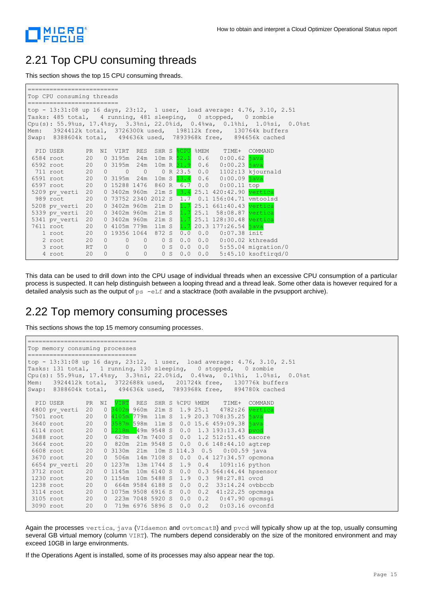

#### 2.21 Top CPU consuming threads

This section shows the top 15 CPU consuming threads.

```
=========================
Top CPU consuming threads
=========================
top - 13:31:08 up 16 days, 23:12, 1 user, load average: 4.76, 3.10, 2.51
Tasks: 485 total, 4 running, 481 sleeping, 0 stopped, 0 zombie
Cpu(s): 55.9%us, 17.4%sy, 3.3%ni, 22.0%id, 0.4%wa, 0.1%hi, 1.0%si, 0.0%st
Mem: 3924412k total, 3726300k used, 198112k free, 130764k buffers
Swap: 8388604k total, 494636k used, 7893968k free, 894656k cached
 PID USER PR NI VIRT RES SHR S & CPU %MEM TIME+ COMMAND
6584 root 20 0 3195m 24m 10m R 52.1 0.6 0:00.62 java
 6592 root 20 0 3195m 24m 10m R 31.9 0.6 0:00.23 java
 711 root 20 0 0 0 0 R 23.5 0.0 1102:13 kjournald<br>5591 root 20 0 3195m 24m 10m S 13.4 0.6 0:00.09 java
 6591 root 20 0 3195m 24m 10m S 13.4 0.6 0:00.09 java<br>6597 root 20 0 15288 1476 860 R 6.7 0.0 0:00.11 top
 6597 root 20 0 15288 1476 860 R 6.7 0.0<br>5209 pv_verti 20 0 3402m 960m 21m S 3.4 25.1
                    0 3402m 960m 21m S 3.4 25.1 420:42.90 vert
 989 root 20 0 73752 2340 2012 S 1.7 0.1 156:04.71 vmtoolsd<br>208 pv verti 20 0 3402m 960m 21m D 1.7 25.1 661:40.43 vertica
 5208 pv verti 20 0 3402m 960m 21m D 1.7 25.1 661:40.43
5339 pv_verti 20 0 3402m 960m 21m S 1.7 25.1 58:08.87 vertica
                     0 3402m 960m 21m S 1.7 25.1 128:30.48 vertica
 7611 root 20 0 4105m 779m 11m S 1.7 20.3 177:26.54 java
     1 root 20 0 19356 1064 872 S 0.0 0.0 0:07.38 init
     2 root 20 0 0 0 0 S 0.0 0.0 0:00.02 kthreadd
     3 root RT 0 0 0 0 S 0.0 0.0 5:55.04 migration/0
     4 root 20 0 0 0 0 S 0.0 0.0 5:45.10 ksoftirqd/0
```
This data can be used to drill down into the CPU usage of individual threads when an excessive CPU consumption of a particular process is suspected. It can help distinguish between a looping thread and a thread leak. Some other data is however required for a detailed analysis such as the output of  $ps$  -eLf and a stacktrace (both available in the pvsupport archive).

#### 2.22 Top memory consuming processes

This sections shows the top 15 memory consuming processes.

```
==============================
Top memory consuming processes
==============================
top - 13:31:08 up 16 days, 23:12, 1 user, load average: 4.76, 3.10, 2.51
Tasks: 131 total, 1 running, 130 sleeping, 0 stopped, 0 zombie
Cpu(s): 55.9%us, 17.4%sy, 3.3%ni, 22.0%id, 0.4%wa, 0.1%hi, 1.0%si, 0.0%st<br>Mem: 3924412k total, 3722688k used, 201724k free, 130776k buffers
Mem: 3924412k total, 3722688k used, 201724k free, 130776k buffers
Swap: 8388604k total, 494636k used, 7893968k free, 894780k cached
 PID USER PR NI VIRT RES SHR S %CPU %MEM TIME+ COMMAND<br>1800 bv verti 20 0 3402m 960m 21m S 1.9 25.1 4782:26 vertica
4800 pv verti 20 0 3402m 960m 21m S 1.9 25.1 4782:26 vertica
7501 root 20 0 4105m 779m 11m S 1.9 20.3 708:35.25 java
3640 root 20 0 3587m 598m 11m S 0.0 15.6 459:09.38 java<br>6114 root 20 0 1218m 49m 9548 S 0.0 1.3 193:13.43 pvcc
 6114 root 20 0 1218m 49m 9548 S 0.0 1.3 193:13.43 pvcd
 3688 root 20 0 629m 47m 7400 S 0.0 1.2 512:51.45 oacore
3664 root 20 0 820m 21m 9548 S 0.0 0.6 148:44.10 agtrep
 6608 root 20 0 3130m 21m 10m S 114.3 0.5 0:00.59 java
 3670 root 20 0 506m 14m 7108 S 0.0 0.4 127:34.57 opcmona
 6654 pv_verti 20 0 1237m 13m 1744 S 1.9 0.4 1091:16 python
3712 root 20 0 1145m 10m 6140 S 0.0 0.3 564:44.44 hpsensor
 1230 root 20 0 1154m 10m 5488 S 1.9 0.3 98:27.81 ovcd
1238 root 20 0 664m 9584 6188 S 0.0 0.2 33:14.24 ovbbccb
 3114 root 20 0 1075m 9508 6916 S 0.0 0.2 41:22.25 opcmsga
 3105 root 20 0 223m 7048 5920 S 0.0 0.2 0:47.90 opcmsgi
3090 root 20 0 719m 6976 5896 S 0.0 0.2 0:03.16 ovconfd
```
Again the processes vertica, java (VIdaemon and ovtomcatB) and pvcd will typically show up at the top, usually consuming several GB virtual memory (column VIRT). The numbers depend considerably on the size of the monitored environment and may exceed 10GB in large environments.

If the Operations Agent is installed, some of its processes may also appear near the top.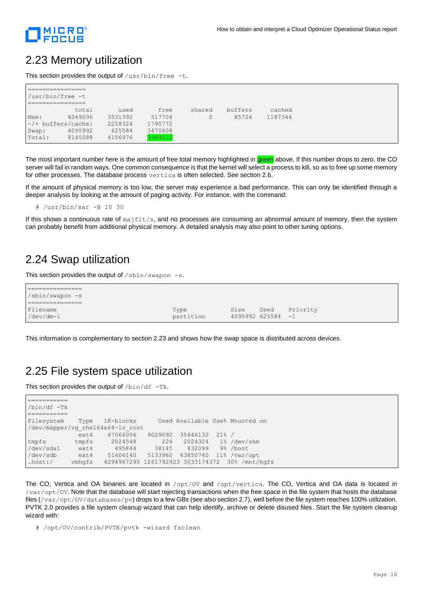

#### 2.23 Memory utilization

This section provides the output of  $/\text{usr/bin}/\text{free}$  -t.

|        | /usr/bin/free -t     |         |         |        |         |         |
|--------|----------------------|---------|---------|--------|---------|---------|
|        |                      |         |         |        |         |         |
|        | total                | used    | free    | shared | buffers | cached  |
| Mem:   | 4049096              | 3531392 | 517704  |        | 85724   | 1187344 |
|        | $-/+$ buffers/cache: | 2258324 | 1790772 |        |         |         |
| Swap:  | 4095992              | 625584  | 3470408 |        |         |         |
| Total: | 8145088              | 4156976 | 3988112 |        |         |         |

The most important number here is the amount of free total memory highlighted in green above. If this number drops to zero, the CO server will fail in random ways. One common consequence is that the kernel will select a process to kill, so as to free up some memory for other processes. The database process vertica is often selected. See section 2.6.

If the amount of physical memory is too low, the server may experience a bad performance. This can only be identified through a deeper analysis by looking at the amount of paging activity. For instance, with the command:

# /usr/bin/sar -B 10 30

If this shows a continuous rate of  $majfilt/s$ , and no processes are consuming an abnormal amount of memory, then the system can probably benefit from additional physical memory. A detailed analysis may also point to other tuning options.

#### 2.24 Swap utilization

This section provides the output of  $/\sin/\sin\varphi$  -s.

| /sbin/swapon -s    |           |      |                     |          |
|--------------------|-----------|------|---------------------|----------|
|                    |           |      |                     |          |
| Filename           | Type      | Size | Used                | Priority |
| $/\text{dev/dm-1}$ | partition |      | $4095992625584 - 1$ |          |

This information is complementary to section 2.23 and shows how the swap space is distributed across devices.

#### 2.25 File system space utilization

This section provides the output of  $/\text{bin/df}$  -Tk.

| /bin/df -Tk               |        |                                  |         |                              |                                                |
|---------------------------|--------|----------------------------------|---------|------------------------------|------------------------------------------------|
|                           |        |                                  |         |                              |                                                |
| Filesystem Type 1K-blocks |        |                                  |         |                              | Used Available Use% Mounted on                 |
|                           |        | /dev/mapper/vg rhel64x64-lv root |         |                              |                                                |
|                           | ext4   | 47066056                         | 9029092 | 35646132 21% /               |                                                |
| tmpfs                     |        | tmpfs 2024548                    | 224     |                              | 2024324 1%/dev/shm                             |
| /dev/sda1                 | ext4   | 495844                           | 38145   | 432099 9%/boot               |                                                |
| /dev/sdb                  | ext4   | 51606140                         |         | 5133960 43850740 11%/var/opt |                                                |
| .host: /                  | vmhqfs |                                  |         |                              | 4294967295 1261792923 3033174372 30% /mnt/hqfs |

The CO, Vertica and OA binaries are located in /opt/0V and /opt/vertica. The CO, Vertica and OA data is located in /var/opt/OV. Note that the database will start rejecting transactions when the free space in the file system that hosts the database files (/var/opt/OV/databases/pv) drops to a few GBs (see also section 2.7), well before the file system reaches 100% utilization. PVTK 2.0 provides a file system cleanup wizard that can help identify, archive or delete disused files. Start the file system cleanup wizard with:

# /opt/OV/contrib/PVTK/pvtk -wizard fsclean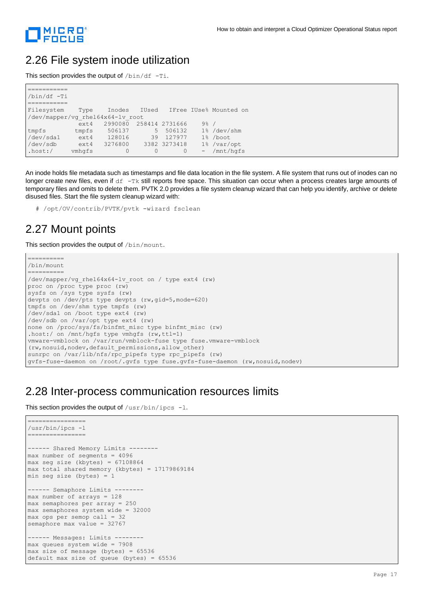

#### 2.26 File system inode utilization

This section provides the output of  $/\text{bin/df}$  -Ti.

| $/bin/df$ -Ti                    |          |         |    |                |         |                              |
|----------------------------------|----------|---------|----|----------------|---------|------------------------------|
|                                  |          |         |    |                |         |                              |
| Filesystem                       | Type     | Inodes  |    |                |         | IUsed IFree IUse% Mounted on |
| /dev/mapper/vg rhel64x64-lv root |          |         |    |                |         |                              |
|                                  | ext4     | 2990080 |    | 258414 2731666 | $9\%$ / |                              |
| tmpfs                            | tmpfs    | 506137  |    | 5 506132       |         | 1% /dev/shm                  |
| /dev/sda1                        | ext4     | 128016  | 39 | 127977         |         | 1% /boot                     |
| /dev/sdb                         | $ext{4}$ | 3276800 |    | 3382 3273418   |         | 1% /var/opt                  |
| .host: /                         | ymhqfs   | 0       | 0  | $\circ$        |         | $-$ /mnt/hqfs                |

An inode holds file metadata such as timestamps and file data location in the file system. A file system that runs out of inodes can no longer create new files, even if  $df -Tk$  still reports free space. This situation can occur when a process creates large amounts of temporary files and omits to delete them. PVTK 2.0 provides a file system cleanup wizard that can help you identify, archive or delete disused files. Start the file system cleanup wizard with:

# /opt/OV/contrib/PVTK/pvtk -wizard fsclean

### 2.27 Mount points

This section provides the output of /bin/mount.

```
==========
/bin/mount
==========
/dev/mapper/vg_rhel64x64-lv_root on / type ext4 (rw)
proc on /proc type proc (rw)
sysfs on /sys type sysfs (rw)
devpts on /dev/pts type devpts (rw,gid=5,mode=620)
tmpfs on /dev/shm type tmpfs (rw)
/dev/sda1 on /boot type ext4 (rw)
/dev/sdb on /var/opt type ext4 (rw)
none on /proc/sys/fs/binfmt_misc type binfmt_misc (rw)
.host:/ on /mnt/hgfs type vmhgfs (rw,ttl=1)
vmware-vmblock on /var/run/vmblock-fuse type fuse.vmware-vmblock 
(rw, nosuid, nodev, default permissions, allow other)
sunrpc on /var/lib/nfs/rpc pipefs type rpc_pipefs (rw)
gvfs-fuse-daemon on /root/.gvfs type fuse.gvfs-fuse-daemon (rw,nosuid,nodev)
```
#### 2.28 Inter-process communication resources limits

This section provides the output of  $/usr/bin/ipcs$  -1.

```
================
/usr/bin/ipcs -l
================
------ Shared Memory Limits --------
max number of segments = 4096
max seg size (kbytes) = 67108864
max total shared memory (kbytes) = 17179869184
min seg size (bytes) = 1
------ Semaphore Limits --------
max number of arrays = 128
max semaphores per array = 250
max semaphores system wide = 32000
max ops per semop call = 32
semaphore max value = 32767
------ Messages: Limits --------
max queues system wide = 7908
max size of message (bytes) = 65536
default max size of queue (bytes) = 65536
```